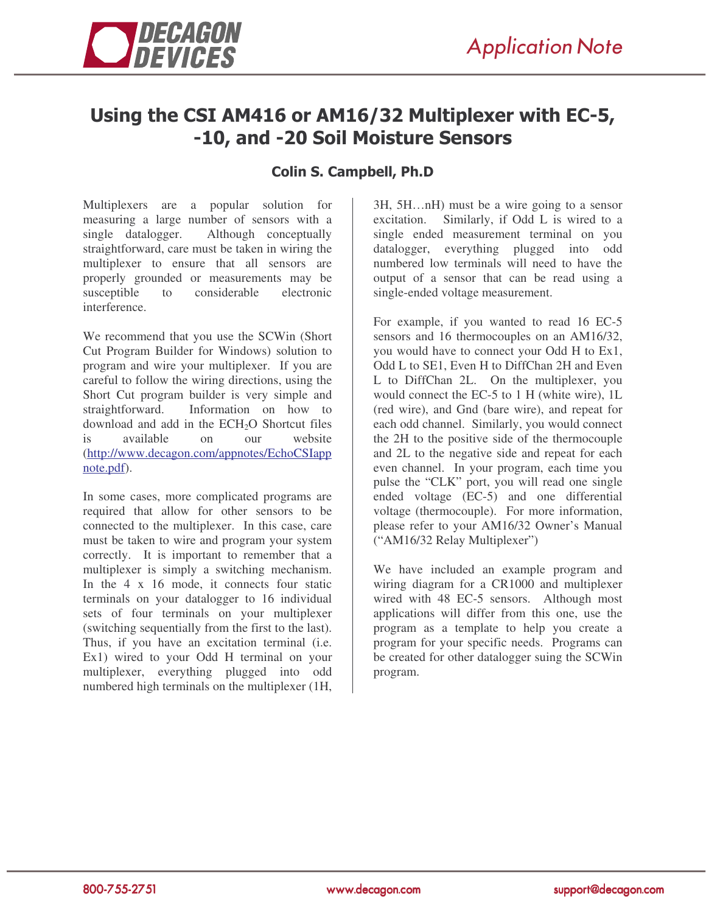

## Using the CSI AM416 or AM16/32 Multiplexer with EC-5, -10, and -20 Soil Moisture Sensors

## Colin S. Campbell, Ph.D

Multiplexers are a popular solution for measuring a large number of sensors with a single datalogger. Although conceptually straightforward, care must be taken in wiring the multiplexer to ensure that all sensors are properly grounded or measurements may be susceptible to considerable electronic interference.

We recommend that you use the SCWin (Short Cut Program Builder for Windows) solution to program and wire your multiplexer. If you are careful to follow the wiring directions, using the Short Cut program builder is very simple and straightforward. Information on how to download and add in the  $ECH<sub>2</sub>O$  Shortcut files<br>is available on our website is available on our (http://www.decagon.com/appnotes/EchoCSIapp note.pdf).

In some cases, more complicated programs are required that allow for other sensors to be connected to the multiplexer. In this case, care must be taken to wire and program your system correctly. It is important to remember that a multiplexer is simply a switching mechanism. In the  $4 \times 16$  mode, it connects four static terminals on your datalogger to 16 individual sets of four terminals on your multiplexer (switching sequentially from the first to the last). Thus, if you have an excitation terminal (i.e. Ex1) wired to your Odd H terminal on your multiplexer, everything plugged into odd numbered high terminals on the multiplexer (1H,

3H, 5H…nH) must be a wire going to a sensor excitation. Similarly, if Odd L is wired to a single ended measurement terminal on you datalogger, everything plugged into odd numbered low terminals will need to have the output of a sensor that can be read using a single-ended voltage measurement.

For example, if you wanted to read 16 EC-5 sensors and 16 thermocouples on an AM16/32, you would have to connect your Odd H to Ex1, Odd L to SE1, Even H to DiffChan 2H and Even L to DiffChan 2L. On the multiplexer, you would connect the EC-5 to 1 H (white wire), 1L (red wire), and Gnd (bare wire), and repeat for each odd channel. Similarly, you would connect the 2H to the positive side of the thermocouple and 2L to the negative side and repeat for each even channel. In your program, each time you pulse the "CLK" port, you will read one single ended voltage (EC-5) and one differential voltage (thermocouple). For more information, please refer to your AM16/32 Owner's Manual ("AM16/32 Relay Multiplexer")

We have included an example program and wiring diagram for a CR1000 and multiplexer wired with 48 EC-5 sensors. Although most applications will differ from this one, use the program as a template to help you create a program for your specific needs. Programs can be created for other datalogger suing the SCWin program.